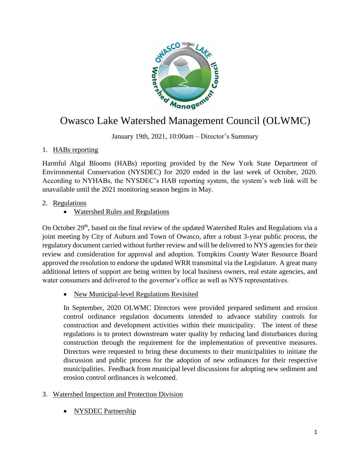

# **Company of Management Council (OLWMC)**

January 19th, 2021, 10:00am – Director's Summary

## 1. HABs reporting

Harmful Algal Blooms (HABs) reporting provided by the New York State Department of Environmental Conservation (NYSDEC) for 2020 ended in the last week of October, 2020. According to NYHABs, the NYSDEC's HAB reporting system, the system's web link will be unavailable until the 2021 monitoring season begins in May.

## 2. Regulations

Watershed Rules and Regulations

On October 29<sup>th</sup>, based on the final review of the updated Watershed Rules and Regulations via a joint meeting by City of Auburn and Town of Owasco, after a robust 3-year public process, the regulatory document carried without further review and will be delivered to NYS agencies for their review and consideration for approval and adoption. Tompkins County Water Resource Board approved the resolution to endorse the updated WRR transmittal via the Legislature. A great many additional letters of support are being written by local business owners, real estate agencies, and water consumers and delivered to the governor's office as well as NYS representatives.

• New Municipal-level Regulations Revisited

In September, 2020 OLWMC Directors were provided prepared sediment and erosion control ordinance regulation documents intended to advance stability controls for construction and development activities within their municipality. The intent of these regulations is to protect downstream water quality by reducing land disturbances during construction through the requirement for the implementation of preventive measures. Directors were requested to bring these documents to their municipalities to initiate the discussion and public process for the adoption of new ordinances for their respective municipalities. Feedback from municipal level discussions for adopting new sediment and erosion control ordinances is welcomed.

#### 3. Watershed Inspection and Protection Division

NYSDEC Partnership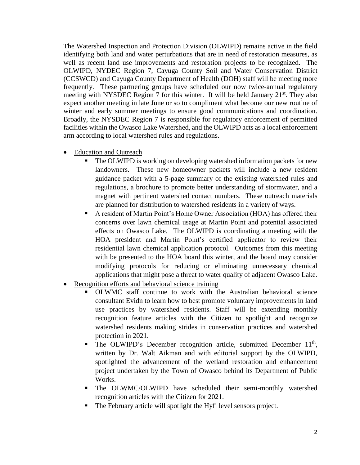The Watershed Inspection and Protection Division (OLWIPD) remains active in the field identifying both land and water perturbations that are in need of restoration measures, as well as recent land use improvements and restoration projects to be recognized. The OLWIPD, NYDEC Region 7, Cayuga County Soil and Water Conservation District (CCSWCD) and Cayuga County Department of Health (DOH) staff will be meeting more frequently. These partnering groups have scheduled our now twice-annual regulatory meeting with NYSDEC Region 7 for this winter. It will be held January 21<sup>st</sup>. They also expect another meeting in late June or so to compliment what become our new routine of winter and early summer meetings to ensure good communications and coordination. Broadly, the NYSDEC Region 7 is responsible for regulatory enforcement of permitted facilities within the Owasco Lake Watershed, and the OLWIPD acts as a local enforcement arm according to local watershed rules and regulations.

- Education and Outreach
	- The OLWIPD is working on developing watershed information packets for new landowners. These new homeowner packets will include a new resident guidance packet with a 5-page summary of the existing watershed rules and regulations, a brochure to promote better understanding of stormwater, and a magnet with pertinent watershed contact numbers. These outreach materials are planned for distribution to watershed residents in a variety of ways.
	- A resident of Martin Point's Home Owner Association (HOA) has offered their concerns over lawn chemical usage at Martin Point and potential associated effects on Owasco Lake. The OLWIPD is coordinating a meeting with the HOA president and Martin Point's certified applicator to review their residential lawn chemical application protocol. Outcomes from this meeting with be presented to the HOA board this winter, and the board may consider modifying protocols for reducing or eliminating unnecessary chemical applications that might pose a threat to water quality of adjacent Owasco Lake.
- Recognition efforts and behavioral science training
	- OLWMC staff continue to work with the Australian behavioral science consultant Evidn to learn how to best promote voluntary improvements in land use practices by watershed residents. Staff will be extending monthly recognition feature articles with the Citizen to spotlight and recognize watershed residents making strides in conservation practices and watershed protection in 2021.
	- $\blacksquare$  The OLWIPD's December recognition article, submitted December 11<sup>th</sup>, written by Dr. Walt Aikman and with editorial support by the OLWIPD, spotlighted the advancement of the wetland restoration and enhancement project undertaken by the Town of Owasco behind its Department of Public Works.
	- The OLWMC/OLWIPD have scheduled their semi-monthly watershed recognition articles with the Citizen for 2021.
	- The February article will spotlight the Hyfi level sensors project.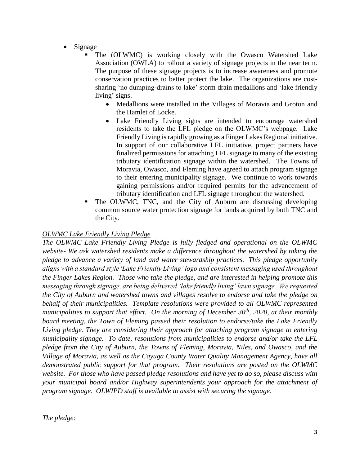- Signage
	- The (OLWMC) is working closely with the Owasco Watershed Lake Association (OWLA) to rollout a variety of signage projects in the near term. The purpose of these signage projects is to increase awareness and promote conservation practices to better protect the lake. The organizations are costsharing 'no dumping-drains to lake' storm drain medallions and 'lake friendly living' signs.
		- Medallions were installed in the Villages of Moravia and Groton and the Hamlet of Locke.
		- Lake Friendly Living signs are intended to encourage watershed residents to take the LFL pledge on the OLWMC's webpage. Lake Friendly Living is rapidly growing as a Finger Lakes Regional initiative. In support of our collaborative LFL initiative, project partners have finalized permissions for attaching LFL signage to many of the existing tributary identification signage within the watershed. The Towns of Moravia, Owasco, and Fleming have agreed to attach program signage to their entering municipality signage. We continue to work towards gaining permissions and/or required permits for the advancement of tributary identification and LFL signage throughout the watershed.
	- The OLWMC, TNC, and the City of Auburn are discussing developing common source water protection signage for lands acquired by both TNC and the City.

## *OLWMC Lake Friendly Living Pledge*

*The OLWMC Lake Friendly Living Pledge is fully fledged and operational on the OLWMC website- We ask watershed residents make a difference throughout the watershed by taking the pledge to advance a variety of land and water stewardship practices. This pledge opportunity aligns with a standard style 'Lake Friendly Living' logo and consistent messaging used throughout the Finger Lakes Region. Those who take the pledge, and are interested in helping promote this messaging through signage, are being delivered 'lake friendly living' lawn signage. We requested the City of Auburn and watershed towns and villages resolve to endorse and take the pledge on behalf of their municipalities. Template resolutions were provided to all OLWMC represented municipalities to support that effort. On the morning of December 30th, 2020, at their monthly board meeting, the Town of Fleming passed their resolution to endorse/take the Lake Friendly Living pledge. They are considering their approach for attaching program signage to entering municipality signage. To date, resolutions from municipalities to endorse and/or take the LFL pledge from the City of Auburn, the Towns of Fleming, Moravia, Niles, and Owasco, and the Village of Moravia, as well as the Cayuga County Water Quality Management Agency, have all demonstrated public support for that program. Their resolutions are posted on the OLWMC website. For those who have passed pledge resolutions and have yet to do so, please discuss with your municipal board and/or Highway superintendents your approach for the attachment of program signage. OLWIPD staff is available to assist with securing the signage.*

#### *The pledge:*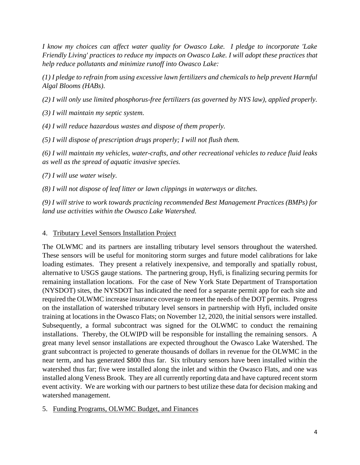*I know my choices can affect water quality for Owasco Lake. I pledge to incorporate 'Lake Friendly Living' practices to reduce my impacts on Owasco Lake. I will adopt these practices that help reduce pollutants and minimize runoff into Owasco Lake:*

*(1) I pledge to refrain from using excessive lawn fertilizers and chemicals to help prevent Harmful Algal Blooms (HABs).*

*(2) I will only use limited phosphorus-free fertilizers (as governed by NYS law), applied properly.*

*(3) I will maintain my septic system.*

*(4) I will reduce hazardous wastes and dispose of them properly.*

*(5) I will dispose of prescription drugs properly; I will not flush them.*

*(6) I will maintain my vehicles, water-crafts, and other recreational vehicles to reduce fluid leaks as well as the spread of aquatic invasive species.*

*(7) I will use water wisely.*

*(8) I will not dispose of leaf litter or lawn clippings in waterways or ditches.*

*(9) I will strive to work towards practicing recommended Best Management Practices (BMPs) for land use activities within the Owasco Lake Watershed.*

#### 4. Tributary Level Sensors Installation Project

The OLWMC and its partners are installing tributary level sensors throughout the watershed. These sensors will be useful for monitoring storm surges and future model calibrations for lake loading estimates. They present a relatively inexpensive, and temporally and spatially robust, alternative to USGS gauge stations. The partnering group, Hyfi, is finalizing securing permits for remaining installation locations. For the case of New York State Department of Transportation (NYSDOT) sites, the NYSDOT has indicated the need for a separate permit app for each site and required the OLWMC increase insurance coverage to meet the needs of the DOT permits. Progress on the installation of watershed tributary level sensors in partnership with Hyfi, included onsite training at locations in the Owasco Flats; on November 12, 2020, the initial sensors were installed. Subsequently, a formal subcontract was signed for the OLWMC to conduct the remaining installations. Thereby, the OLWIPD will be responsible for installing the remaining sensors. A great many level sensor installations are expected throughout the Owasco Lake Watershed. The grant subcontract is projected to generate thousands of dollars in revenue for the OLWMC in the near term, and has generated \$800 thus far. Six tributary sensors have been installed within the watershed thus far; five were installed along the inlet and within the Owasco Flats, and one was installed along Veness Brook. They are all currently reporting data and have captured recent storm event activity. We are working with our partners to best utilize these data for decision making and watershed management.

#### 5. Funding Programs, OLWMC Budget, and Finances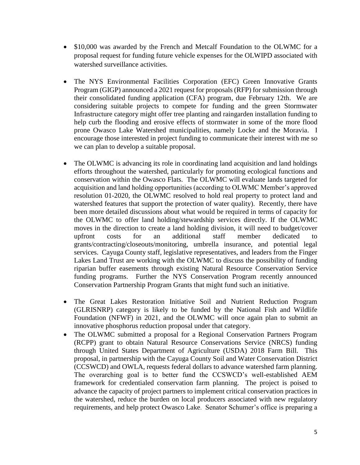- \$10,000 was awarded by the French and Metcalf Foundation to the OLWMC for a proposal request for funding future vehicle expenses for the OLWIPD associated with watershed surveillance activities.
- The NYS Environmental Facilities Corporation (EFC) Green Innovative Grants Program (GIGP) announced a 2021 request for proposals (RFP) for submission through their consolidated funding application (CFA) program, due February 12th. We are considering suitable projects to compete for funding and the green Stormwater Infrastructure category might offer tree planting and raingarden installation funding to help curb the flooding and erosive effects of stormwater in some of the more flood prone Owasco Lake Watershed municipalities, namely Locke and the Moravia. I encourage those interested in project funding to communicate their interest with me so we can plan to develop a suitable proposal.
- The OLWMC is advancing its role in coordinating land acquisition and land holdings efforts throughout the watershed, particularly for promoting ecological functions and conservation within the Owasco Flats. The OLWMC will evaluate lands targeted for acquisition and land holding opportunities (according to OLWMC Member's approved resolution 01-2020, the OLWMC resolved to hold real property to protect land and watershed features that support the protection of water quality). Recently, there have been more detailed discussions about what would be required in terms of capacity for the OLWMC to offer land holding/stewardship services directly. If the OLWMC moves in the direction to create a land holding division, it will need to budget/cover upfront costs for an additional staff member dedicated to grants/contracting/closeouts/monitoring, umbrella insurance, and potential legal services. Cayuga County staff, legislative representatives, and leaders from the Finger Lakes Land Trust are working with the OLWMC to discuss the possibility of funding riparian buffer easements through existing Natural Resource Conservation Service funding programs. Further the NYS Conservation Program recently announced Conservation Partnership Program Grants that might fund such an initiative.
- The Great Lakes Restoration Initiative Soil and Nutrient Reduction Program (GLRISNRP) category is likely to be funded by the National Fish and Wildlife Foundation (NFWF) in 2021, and the OLWMC will once again plan to submit an innovative phosphorus reduction proposal under that category.
- The OLWMC submitted a proposal for a Regional Conservation Partners Program (RCPP) grant to obtain Natural Resource Conservations Service (NRCS) funding through United States Department of Agriculture (USDA) 2018 Farm Bill. This proposal, in partnership with the Cayuga County Soil and Water Conservation District (CCSWCD) and OWLA, requests federal dollars to advance watershed farm planning. The overarching goal is to better fund the CCSWCD's well-established AEM framework for credentialed conservation farm planning. The project is poised to advance the capacity of project partners to implement critical conservation practices in the watershed, reduce the burden on local producers associated with new regulatory requirements, and help protect Owasco Lake. Senator Schumer's office is preparing a